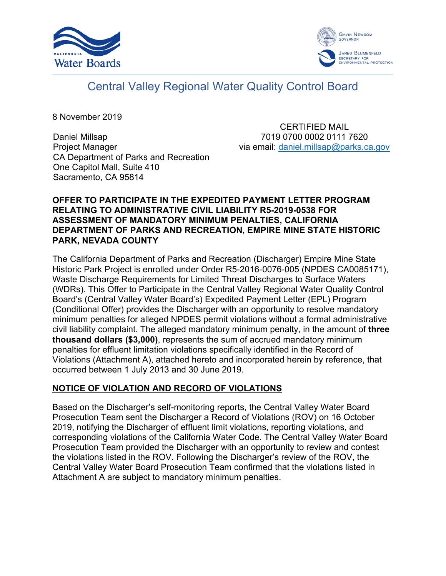



# Central Valley Regional Water Quality Control Board

8 November 2019

Daniel Millsap Project Manager CA Department of Parks and Recreation One Capitol Mall, Suite 410 Sacramento, CA 95814

CERTIFIED MAIL 7019 0700 0002 0111 7620 via email: [daniel.millsap@parks.ca.gov](mailto:daniel.millsap@parks.ca.gov)

## **OFFER TO PARTICIPATE IN THE EXPEDITED PAYMENT LETTER PROGRAM RELATING TO ADMINISTRATIVE CIVIL LIABILITY R5-2019-0538 FOR ASSESSMENT OF MANDATORY MINIMUM PENALTIES, CALIFORNIA DEPARTMENT OF PARKS AND RECREATION, EMPIRE MINE STATE HISTORIC PARK, NEVADA COUNTY**

The California Department of Parks and Recreation (Discharger) Empire Mine State Historic Park Project is enrolled under Order R5-2016-0076-005 (NPDES CA0085171), Waste Discharge Requirements for Limited Threat Discharges to Surface Waters (WDRs). This Offer to Participate in the Central Valley Regional Water Quality Control Board's (Central Valley Water Board's) Expedited Payment Letter (EPL) Program (Conditional Offer) provides the Discharger with an opportunity to resolve mandatory minimum penalties for alleged NPDES permit violations without a formal administrative civil liability complaint. The alleged mandatory minimum penalty, in the amount of **three thousand dollars (\$3,000)**, represents the sum of accrued mandatory minimum penalties for effluent limitation violations specifically identified in the Record of Violations (Attachment A), attached hereto and incorporated herein by reference, that occurred between 1 July 2013 and 30 June 2019.

# **NOTICE OF VIOLATION AND RECORD OF VIOLATIONS**

Based on the Discharger's self-monitoring reports, the Central Valley Water Board Prosecution Team sent the Discharger a Record of Violations (ROV) on 16 October 2019, notifying the Discharger of effluent limit violations, reporting violations, and corresponding violations of the California Water Code. The Central Valley Water Board Prosecution Team provided the Discharger with an opportunity to review and contest the violations listed in the ROV. Following the Discharger's review of the ROV, the Central Valley Water Board Prosecution Team confirmed that the violations listed in Attachment A are subject to mandatory minimum penalties.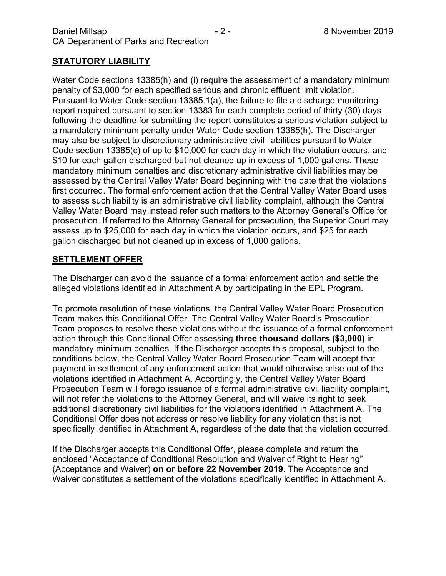# **STATUTORY LIABILITY**

Water Code sections 13385(h) and (i) require the assessment of a mandatory minimum penalty of \$3,000 for each specified serious and chronic effluent limit violation. Pursuant to Water Code section 13385.1(a), the failure to file a discharge monitoring report required pursuant to section 13383 for each complete period of thirty (30) days following the deadline for submitting the report constitutes a serious violation subject to a mandatory minimum penalty under Water Code section 13385(h). The Discharger may also be subject to discretionary administrative civil liabilities pursuant to Water Code section 13385(c) of up to \$10,000 for each day in which the violation occurs, and \$10 for each gallon discharged but not cleaned up in excess of 1,000 gallons. These mandatory minimum penalties and discretionary administrative civil liabilities may be assessed by the Central Valley Water Board beginning with the date that the violations first occurred. The formal enforcement action that the Central Valley Water Board uses to assess such liability is an administrative civil liability complaint, although the Central Valley Water Board may instead refer such matters to the Attorney General's Office for prosecution. If referred to the Attorney General for prosecution, the Superior Court may assess up to \$25,000 for each day in which the violation occurs, and \$25 for each gallon discharged but not cleaned up in excess of 1,000 gallons.

### **SETTLEMENT OFFER**

The Discharger can avoid the issuance of a formal enforcement action and settle the alleged violations identified in Attachment A by participating in the EPL Program.

To promote resolution of these violations, the Central Valley Water Board Prosecution Team makes this Conditional Offer. The Central Valley Water Board's Prosecution Team proposes to resolve these violations without the issuance of a formal enforcement action through this Conditional Offer assessing **three thousand dollars (\$3,000)** in mandatory minimum penalties. If the Discharger accepts this proposal, subject to the conditions below, the Central Valley Water Board Prosecution Team will accept that payment in settlement of any enforcement action that would otherwise arise out of the violations identified in Attachment A. Accordingly, the Central Valley Water Board Prosecution Team will forego issuance of a formal administrative civil liability complaint, will not refer the violations to the Attorney General, and will waive its right to seek additional discretionary civil liabilities for the violations identified in Attachment A. The Conditional Offer does not address or resolve liability for any violation that is not specifically identified in Attachment A, regardless of the date that the violation occurred.

If the Discharger accepts this Conditional Offer, please complete and return the enclosed "Acceptance of Conditional Resolution and Waiver of Right to Hearing" (Acceptance and Waiver) **on or before 22 November 2019**. The Acceptance and Waiver constitutes a settlement of the violations specifically identified in Attachment A.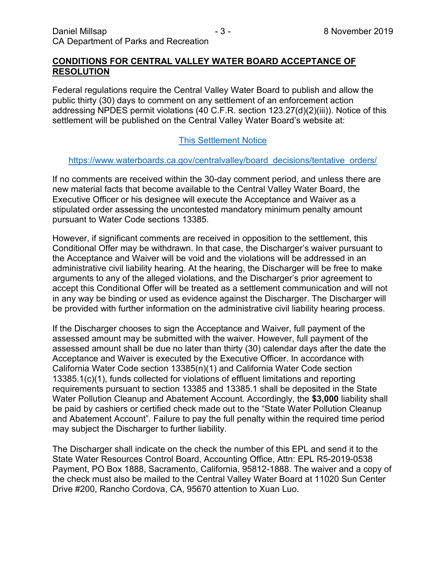### **CONDITIONS FOR CENTRAL VALLEY WATER BOARD ACCEPTANCE OF RESOLUTION**

Federal regulations require the Central Valley Water Board to publish and allow the public thirty (30) days to comment on any settlement of an enforcement action addressing NPDES permit violations (40 C.F.R. section 123.27(d)(2)(iii)). Notice of this settlement will be published on the Central Valley Water Board's website at:

# [This Settlement Notice](https://www.waterboards.ca.gov/centralvalley/board_decisions/tentative_orders/)

#### [https://www.waterboards.ca.gov/centralvalley/board\\_decisions/tentative\\_orders/](https://www.waterboards.ca.gov/centralvalley/board_decisions/tentative_orders/)

If no comments are received within the 30-day comment period, and unless there are new material facts that become available to the Central Valley Water Board, the Executive Officer or his designee will execute the Acceptance and Waiver as a stipulated order assessing the uncontested mandatory minimum penalty amount pursuant to Water Code sections 13385.

However, if significant comments are received in opposition to the settlement, this Conditional Offer may be withdrawn. In that case, the Discharger's waiver pursuant to the Acceptance and Waiver will be void and the violations will be addressed in an administrative civil liability hearing. At the hearing, the Discharger will be free to make arguments to any of the alleged violations, and the Discharger's prior agreement to accept this Conditional Offer will be treated as a settlement communication and will not in any way be binding or used as evidence against the Discharger. The Discharger will be provided with further information on the administrative civil liability hearing process.

If the Discharger chooses to sign the Acceptance and Waiver, full payment of the assessed amount may be submitted with the waiver. However, full payment of the assessed amount shall be due no later than thirty (30) calendar days after the date the Acceptance and Waiver is executed by the Executive Officer. In accordance with California Water Code section 13385(n)(1) and California Water Code section 13385.1(c)(1), funds collected for violations of effluent limitations and reporting requirements pursuant to section 13385 and 13385.1 shall be deposited in the State Water Pollution Cleanup and Abatement Account. Accordingly, the **\$3,000** liability shall be paid by cashiers or certified check made out to the "State Water Pollution Cleanup and Abatement Account". Failure to pay the full penalty within the required time period may subject the Discharger to further liability.

The Discharger shall indicate on the check the number of this EPL and send it to the State Water Resources Control Board, Accounting Office, Attn: EPL R5-2019-0538 Payment, PO Box 1888, Sacramento, California, 95812-1888. The waiver and a copy of the check must also be mailed to the Central Valley Water Board at 11020 Sun Center Drive #200, Rancho Cordova, CA, 95670 attention to Xuan Luo.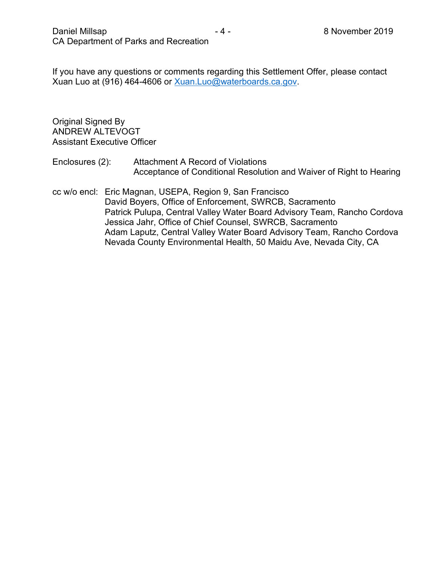If you have any questions or comments regarding this Settlement Offer, please contact Xuan Luo at (916) 464-4606 or [Xuan.Luo@waterboards.ca.gov.](mailto:Xuan.Luo@waterboards.ca.gov)

Original Signed By ANDREW ALTEVOGT Assistant Executive Officer

- Enclosures (2): Attachment A Record of Violations Acceptance of Conditional Resolution and Waiver of Right to Hearing
- cc w/o encl: Eric Magnan, USEPA, Region 9, San Francisco David Boyers, Office of Enforcement, SWRCB, Sacramento Patrick Pulupa, Central Valley Water Board Advisory Team, Rancho Cordova Jessica Jahr, Office of Chief Counsel, SWRCB, Sacramento Adam Laputz, Central Valley Water Board Advisory Team, Rancho Cordova Nevada County Environmental Health, 50 Maidu Ave, Nevada City, CA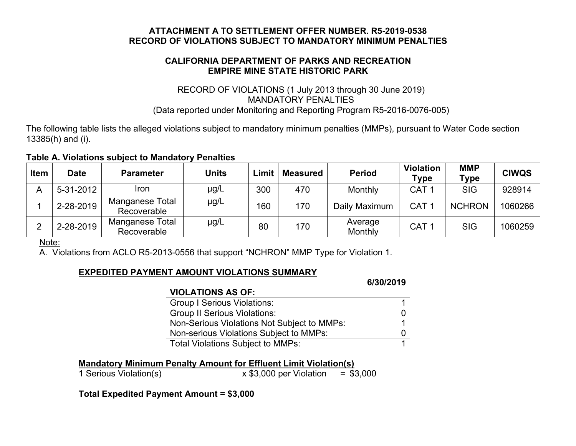## **ATTACHMENT A TO SETTLEMENT OFFER NUMBER. R5-2019-0538 RECORD OF VIOLATIONS SUBJECT TO MANDATORY MINIMUM PENALTIES**

# **CALIFORNIA DEPARTMENT OF PARKS AND RECREATION EMPIRE MINE STATE HISTORIC PARK**

# RECORD OF VIOLATIONS (1 July 2013 through 30 June 2019) MANDATORY PENALTIES (Data reported under Monitoring and Reporting Program R5-2016-0076-005)

The following table lists the alleged violations subject to mandatory minimum penalties (MMPs), pursuant to Water Code section 13385(h) and (i).

#### **Table A. Violations subject to Mandatory Penalties**

| <b>Item</b> | <b>Date</b> | <b>Parameter</b>               | <b>Units</b> | Limit | <b>Measured</b> | <b>Period</b>      | <b>Violation</b><br>Type | <b>MMP</b><br><b>Type</b> | <b>CIWQS</b> |
|-------------|-------------|--------------------------------|--------------|-------|-----------------|--------------------|--------------------------|---------------------------|--------------|
|             | 5-31-2012   | <b>Iron</b>                    | µg/L         | 300   | 470             | Monthly            | CAT <sub>1</sub>         | <b>SIG</b>                | 928914       |
|             | 2-28-2019   | Manganese Total<br>Recoverable | $\mu$ g/L    | 160   | 170             | Daily Maximum      | CAT <sub>1</sub>         | <b>NCHRON</b>             | 1060266      |
|             | 2-28-2019   | Manganese Total<br>Recoverable | µg/L         | 80    | 170             | Average<br>Monthly | CAT <sub>1</sub>         | <b>SIG</b>                | 1060259      |

Note:

A. Violations from ACLO R5-2013-0556 that support "NCHRON" MMP Type for Violation 1.

# **EXPEDITED PAYMENT AMOUNT VIOLATIONS SUMMARY**

|                                             | 00392013 |
|---------------------------------------------|----------|
| <b>VIOLATIONS AS OF:</b>                    |          |
| <b>Group I Serious Violations:</b>          |          |
| <b>Group II Serious Violations:</b>         |          |
| Non-Serious Violations Not Subject to MMPs: |          |
| Non-serious Violations Subject to MMPs:     |          |
| <b>Total Violations Subject to MMPs:</b>    |          |

**Mandatory Minimum Penalty Amount for Effluent Limit Violation(s)**

1 Serious Violation(s) x \$3,000 per Violation = \$3,000

**6/30/2019**

**Total Expedited Payment Amount = \$3,000**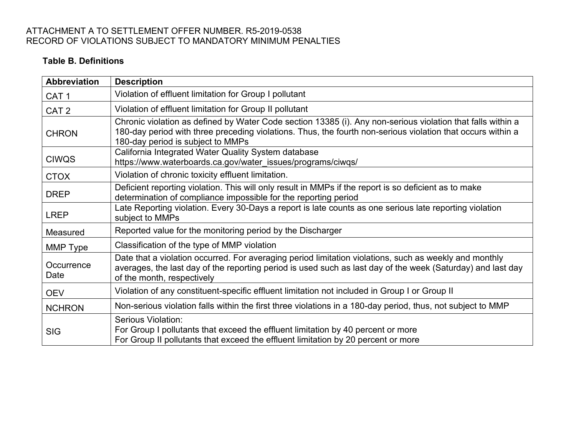# ATTACHMENT A TO SETTLEMENT OFFER NUMBER. R5-2019-0538 RECORD OF VIOLATIONS SUBJECT TO MANDATORY MINIMUM PENALTIES

# **Table B. Definitions**

| <b>Abbreviation</b> | <b>Description</b>                                                                                                                                                                                                                                              |
|---------------------|-----------------------------------------------------------------------------------------------------------------------------------------------------------------------------------------------------------------------------------------------------------------|
| CAT <sub>1</sub>    | Violation of effluent limitation for Group I pollutant                                                                                                                                                                                                          |
| CAT <sub>2</sub>    | Violation of effluent limitation for Group II pollutant                                                                                                                                                                                                         |
| <b>CHRON</b>        | Chronic violation as defined by Water Code section 13385 (i). Any non-serious violation that falls within a<br>180-day period with three preceding violations. Thus, the fourth non-serious violation that occurs within a<br>180-day period is subject to MMPs |
| <b>CIWQS</b>        | California Integrated Water Quality System database<br>https://www.waterboards.ca.gov/water_issues/programs/ciwqs/                                                                                                                                              |
| <b>CTOX</b>         | Violation of chronic toxicity effluent limitation.                                                                                                                                                                                                              |
| <b>DREP</b>         | Deficient reporting violation. This will only result in MMPs if the report is so deficient as to make<br>determination of compliance impossible for the reporting period                                                                                        |
| <b>LREP</b>         | Late Reporting violation. Every 30-Days a report is late counts as one serious late reporting violation<br>subject to MMPs                                                                                                                                      |
| Measured            | Reported value for the monitoring period by the Discharger                                                                                                                                                                                                      |
| MMP Type            | Classification of the type of MMP violation                                                                                                                                                                                                                     |
| Occurrence<br>Date  | Date that a violation occurred. For averaging period limitation violations, such as weekly and monthly<br>averages, the last day of the reporting period is used such as last day of the week (Saturday) and last day<br>of the month, respectively             |
| <b>OEV</b>          | Violation of any constituent-specific effluent limitation not included in Group I or Group II                                                                                                                                                                   |
| <b>NCHRON</b>       | Non-serious violation falls within the first three violations in a 180-day period, thus, not subject to MMP                                                                                                                                                     |
| <b>SIG</b>          | <b>Serious Violation:</b><br>For Group I pollutants that exceed the effluent limitation by 40 percent or more<br>For Group II pollutants that exceed the effluent limitation by 20 percent or more                                                              |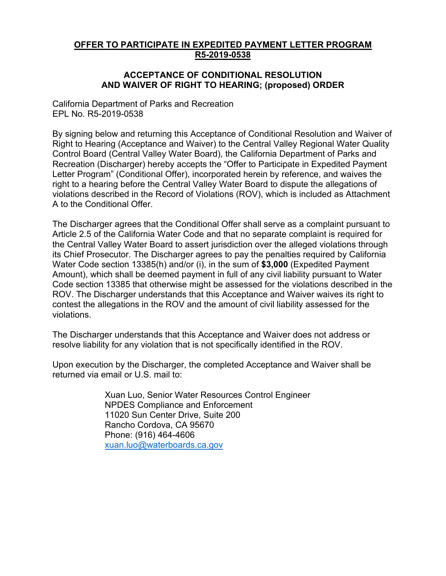### **OFFER TO PARTICIPATE IN EXPEDITED PAYMENT LETTER PROGRAM R5-2019-0538**

#### **ACCEPTANCE OF CONDITIONAL RESOLUTION AND WAIVER OF RIGHT TO HEARING; (proposed) ORDER**

California Department of Parks and Recreation EPL No. R5-2019-0538

By signing below and returning this Acceptance of Conditional Resolution and Waiver of Right to Hearing (Acceptance and Waiver) to the Central Valley Regional Water Quality Control Board (Central Valley Water Board), the California Department of Parks and Recreation (Discharger) hereby accepts the "Offer to Participate in Expedited Payment Letter Program" (Conditional Offer), incorporated herein by reference, and waives the right to a hearing before the Central Valley Water Board to dispute the allegations of violations described in the Record of Violations (ROV), which is included as Attachment A to the Conditional Offer.

The Discharger agrees that the Conditional Offer shall serve as a complaint pursuant to Article 2.5 of the California Water Code and that no separate complaint is required for the Central Valley Water Board to assert jurisdiction over the alleged violations through its Chief Prosecutor. The Discharger agrees to pay the penalties required by California Water Code section 13385(h) and/or (i), in the sum of **\$3,000** (Expedited Payment Amount), which shall be deemed payment in full of any civil liability pursuant to Water Code section 13385 that otherwise might be assessed for the violations described in the ROV. The Discharger understands that this Acceptance and Waiver waives its right to contest the allegations in the ROV and the amount of civil liability assessed for the violations.

The Discharger understands that this Acceptance and Waiver does not address or resolve liability for any violation that is not specifically identified in the ROV.

Upon execution by the Discharger, the completed Acceptance and Waiver shall be returned via email or U.S. mail to:

> Xuan Luo, Senior Water Resources Control Engineer NPDES Compliance and Enforcement 11020 Sun Center Drive, Suite 200 Rancho Cordova, CA 95670 Phone: (916) 464-4606 [xuan.luo@waterboards.ca.gov](mailto:Xuan.Luo@waterboards.ca.gov)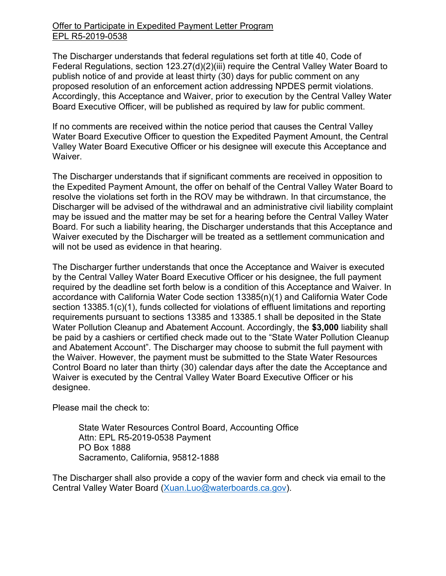## Offer to Participate in Expedited Payment Letter Program EPL R5-2019-0538

The Discharger understands that federal regulations set forth at title 40, Code of Federal Regulations, section 123.27(d)(2)(iii) require the Central Valley Water Board to publish notice of and provide at least thirty (30) days for public comment on any proposed resolution of an enforcement action addressing NPDES permit violations. Accordingly, this Acceptance and Waiver, prior to execution by the Central Valley Water Board Executive Officer, will be published as required by law for public comment.

If no comments are received within the notice period that causes the Central Valley Water Board Executive Officer to question the Expedited Payment Amount, the Central Valley Water Board Executive Officer or his designee will execute this Acceptance and Waiver.

The Discharger understands that if significant comments are received in opposition to the Expedited Payment Amount, the offer on behalf of the Central Valley Water Board to resolve the violations set forth in the ROV may be withdrawn. In that circumstance, the Discharger will be advised of the withdrawal and an administrative civil liability complaint may be issued and the matter may be set for a hearing before the Central Valley Water Board. For such a liability hearing, the Discharger understands that this Acceptance and Waiver executed by the Discharger will be treated as a settlement communication and will not be used as evidence in that hearing.

The Discharger further understands that once the Acceptance and Waiver is executed by the Central Valley Water Board Executive Officer or his designee, the full payment required by the deadline set forth below is a condition of this Acceptance and Waiver. In accordance with California Water Code section 13385(n)(1) and California Water Code section 13385.1(c)(1), funds collected for violations of effluent limitations and reporting requirements pursuant to sections 13385 and 13385.1 shall be deposited in the State Water Pollution Cleanup and Abatement Account. Accordingly, the **\$3,000** liability shall be paid by a cashiers or certified check made out to the "State Water Pollution Cleanup and Abatement Account". The Discharger may choose to submit the full payment with the Waiver. However, the payment must be submitted to the State Water Resources Control Board no later than thirty (30) calendar days after the date the Acceptance and Waiver is executed by the Central Valley Water Board Executive Officer or his designee.

Please mail the check to:

State Water Resources Control Board, Accounting Office Attn: EPL R5-2019-0538 Payment PO Box 1888 Sacramento, California, 95812-1888

The Discharger shall also provide a copy of the wavier form and check via email to the Central Valley Water Board ([Xuan.Luo@waterboards.ca.gov](mailto:Xuan.Luo@waterboards.ca.gov)).